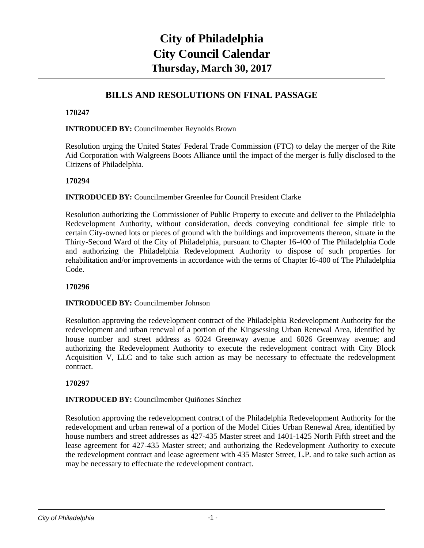# **City of Philadelphia City Council Calendar Thursday, March 30, 2017**

# **BILLS AND RESOLUTIONS ON FINAL PASSAGE**

## **170247**

**INTRODUCED BY:** Councilmember Reynolds Brown

Resolution urging the United States' Federal Trade Commission (FTC) to delay the merger of the Rite Aid Corporation with Walgreens Boots Alliance until the impact of the merger is fully disclosed to the Citizens of Philadelphia.

## **170294**

**INTRODUCED BY:** Councilmember Greenlee for Council President Clarke

Resolution authorizing the Commissioner of Public Property to execute and deliver to the Philadelphia Redevelopment Authority, without consideration, deeds conveying conditional fee simple title to certain City-owned lots or pieces of ground with the buildings and improvements thereon, situate in the Thirty-Second Ward of the City of Philadelphia, pursuant to Chapter 16-400 of The Philadelphia Code and authorizing the Philadelphia Redevelopment Authority to dispose of such properties for rehabilitation and/or improvements in accordance with the terms of Chapter l6-400 of The Philadelphia Code.

## **170296**

## **INTRODUCED BY:** Councilmember Johnson

Resolution approving the redevelopment contract of the Philadelphia Redevelopment Authority for the redevelopment and urban renewal of a portion of the Kingsessing Urban Renewal Area, identified by house number and street address as 6024 Greenway avenue and 6026 Greenway avenue; and authorizing the Redevelopment Authority to execute the redevelopment contract with City Block Acquisition V, LLC and to take such action as may be necessary to effectuate the redevelopment contract.

## **170297**

**INTRODUCED BY:** Councilmember Quiñones Sánchez

Resolution approving the redevelopment contract of the Philadelphia Redevelopment Authority for the redevelopment and urban renewal of a portion of the Model Cities Urban Renewal Area, identified by house numbers and street addresses as 427-435 Master street and 1401-1425 North Fifth street and the lease agreement for 427-435 Master street; and authorizing the Redevelopment Authority to execute the redevelopment contract and lease agreement with 435 Master Street, L.P. and to take such action as may be necessary to effectuate the redevelopment contract.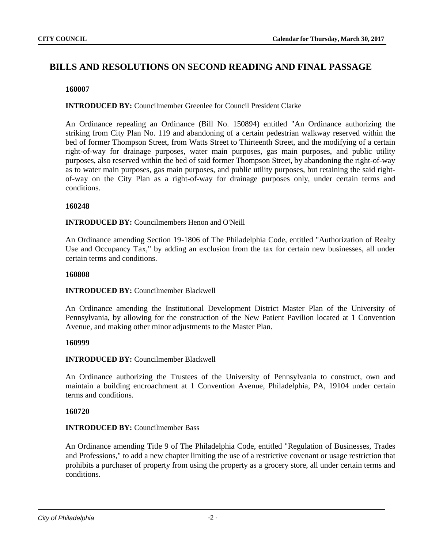# **BILLS AND RESOLUTIONS ON SECOND READING AND FINAL PASSAGE**

## **160007**

## **INTRODUCED BY:** Councilmember Greenlee for Council President Clarke

An Ordinance repealing an Ordinance (Bill No. 150894) entitled "An Ordinance authorizing the striking from City Plan No. 119 and abandoning of a certain pedestrian walkway reserved within the bed of former Thompson Street, from Watts Street to Thirteenth Street, and the modifying of a certain right-of-way for drainage purposes, water main purposes, gas main purposes, and public utility purposes, also reserved within the bed of said former Thompson Street, by abandoning the right-of-way as to water main purposes, gas main purposes, and public utility purposes, but retaining the said rightof-way on the City Plan as a right-of-way for drainage purposes only, under certain terms and conditions.

## **160248**

## **INTRODUCED BY:** Councilmembers Henon and O'Neill

An Ordinance amending Section 19-1806 of The Philadelphia Code, entitled "Authorization of Realty Use and Occupancy Tax," by adding an exclusion from the tax for certain new businesses, all under certain terms and conditions.

#### **160808**

## **INTRODUCED BY:** Councilmember Blackwell

An Ordinance amending the Institutional Development District Master Plan of the University of Pennsylvania, by allowing for the construction of the New Patient Pavilion located at 1 Convention Avenue, and making other minor adjustments to the Master Plan.

## **160999**

## **INTRODUCED BY:** Councilmember Blackwell

An Ordinance authorizing the Trustees of the University of Pennsylvania to construct, own and maintain a building encroachment at 1 Convention Avenue, Philadelphia, PA, 19104 under certain terms and conditions.

## **160720**

## **INTRODUCED BY: Councilmember Bass**

An Ordinance amending Title 9 of The Philadelphia Code, entitled "Regulation of Businesses, Trades and Professions," to add a new chapter limiting the use of a restrictive covenant or usage restriction that prohibits a purchaser of property from using the property as a grocery store, all under certain terms and conditions.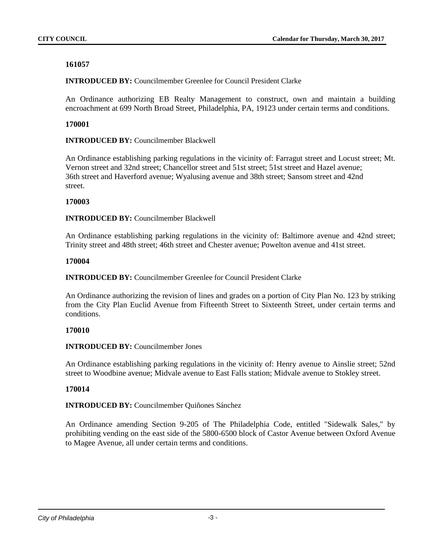**INTRODUCED BY:** Councilmember Greenlee for Council President Clarke

An Ordinance authorizing EB Realty Management to construct, own and maintain a building encroachment at 699 North Broad Street, Philadelphia, PA, 19123 under certain terms and conditions.

## **170001**

**INTRODUCED BY:** Councilmember Blackwell

An Ordinance establishing parking regulations in the vicinity of: Farragut street and Locust street; Mt. Vernon street and 32nd street; Chancellor street and 51st street; 51st street and Hazel avenue; 36th street and Haverford avenue; Wyalusing avenue and 38th street; Sansom street and 42nd street.

## **170003**

**INTRODUCED BY: Councilmember Blackwell** 

An Ordinance establishing parking regulations in the vicinity of: Baltimore avenue and 42nd street; Trinity street and 48th street; 46th street and Chester avenue; Powelton avenue and 41st street.

## **170004**

**INTRODUCED BY:** Councilmember Greenlee for Council President Clarke

An Ordinance authorizing the revision of lines and grades on a portion of City Plan No. 123 by striking from the City Plan Euclid Avenue from Fifteenth Street to Sixteenth Street, under certain terms and conditions.

## **170010**

**INTRODUCED BY:** Councilmember Jones

An Ordinance establishing parking regulations in the vicinity of: Henry avenue to Ainslie street; 52nd street to Woodbine avenue; Midvale avenue to East Falls station; Midvale avenue to Stokley street.

## **170014**

**INTRODUCED BY:** Councilmember Quiñones Sánchez

An Ordinance amending Section 9-205 of The Philadelphia Code, entitled "Sidewalk Sales," by prohibiting vending on the east side of the 5800-6500 block of Castor Avenue between Oxford Avenue to Magee Avenue, all under certain terms and conditions.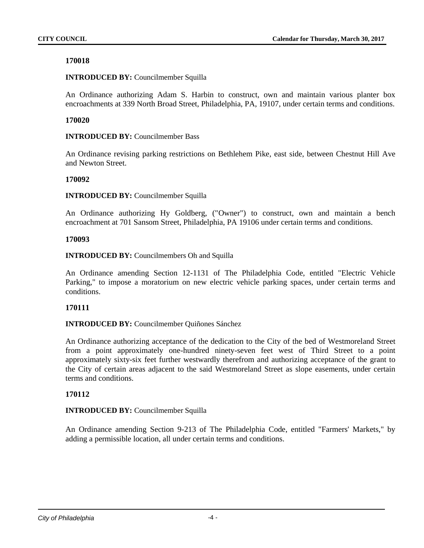**INTRODUCED BY:** Councilmember Squilla

An Ordinance authorizing Adam S. Harbin to construct, own and maintain various planter box encroachments at 339 North Broad Street, Philadelphia, PA, 19107, under certain terms and conditions.

#### **170020**

**INTRODUCED BY: Councilmember Bass** 

An Ordinance revising parking restrictions on Bethlehem Pike, east side, between Chestnut Hill Ave and Newton Street.

#### **170092**

**INTRODUCED BY:** Councilmember Squilla

An Ordinance authorizing Hy Goldberg, ("Owner") to construct, own and maintain a bench encroachment at 701 Sansom Street, Philadelphia, PA 19106 under certain terms and conditions.

#### **170093**

**INTRODUCED BY:** Councilmembers Oh and Squilla

An Ordinance amending Section 12-1131 of The Philadelphia Code, entitled "Electric Vehicle Parking," to impose a moratorium on new electric vehicle parking spaces, under certain terms and conditions.

## **170111**

**INTRODUCED BY:** Councilmember Quiñones Sánchez

An Ordinance authorizing acceptance of the dedication to the City of the bed of Westmoreland Street from a point approximately one-hundred ninety-seven feet west of Third Street to a point approximately sixty-six feet further westwardly therefrom and authorizing acceptance of the grant to the City of certain areas adjacent to the said Westmoreland Street as slope easements, under certain terms and conditions.

## **170112**

## **INTRODUCED BY:** Councilmember Squilla

An Ordinance amending Section 9-213 of The Philadelphia Code, entitled "Farmers' Markets," by adding a permissible location, all under certain terms and conditions.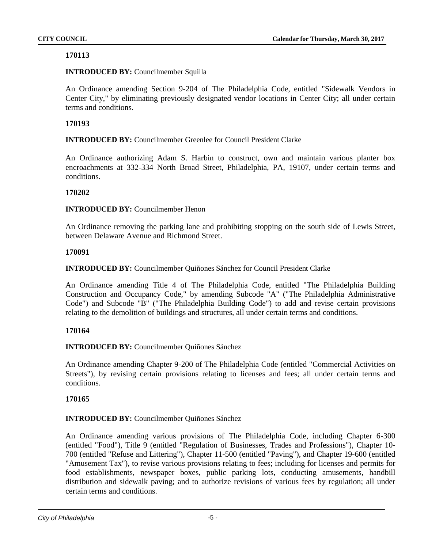## **INTRODUCED BY:** Councilmember Squilla

An Ordinance amending Section 9-204 of The Philadelphia Code, entitled "Sidewalk Vendors in Center City," by eliminating previously designated vendor locations in Center City; all under certain terms and conditions.

## **170193**

**INTRODUCED BY:** Councilmember Greenlee for Council President Clarke

An Ordinance authorizing Adam S. Harbin to construct, own and maintain various planter box encroachments at 332-334 North Broad Street, Philadelphia, PA, 19107, under certain terms and conditions.

## **170202**

**INTRODUCED BY:** Councilmember Henon

An Ordinance removing the parking lane and prohibiting stopping on the south side of Lewis Street, between Delaware Avenue and Richmond Street.

## **170091**

**INTRODUCED BY:** Councilmember Quiñones Sánchez for Council President Clarke

An Ordinance amending Title 4 of The Philadelphia Code, entitled "The Philadelphia Building Construction and Occupancy Code," by amending Subcode "A" ("The Philadelphia Administrative Code") and Subcode "B" ("The Philadelphia Building Code") to add and revise certain provisions relating to the demolition of buildings and structures, all under certain terms and conditions.

## **170164**

**INTRODUCED BY:** Councilmember Quiñones Sánchez

An Ordinance amending Chapter 9-200 of The Philadelphia Code (entitled "Commercial Activities on Streets"), by revising certain provisions relating to licenses and fees; all under certain terms and conditions.

## **170165**

## **INTRODUCED BY:** Councilmember Quiñones Sánchez

An Ordinance amending various provisions of The Philadelphia Code, including Chapter 6-300 (entitled "Food"), Title 9 (entitled "Regulation of Businesses, Trades and Professions"), Chapter 10- 700 (entitled "Refuse and Littering"), Chapter 11-500 (entitled "Paving"), and Chapter 19-600 (entitled "Amusement Tax"), to revise various provisions relating to fees; including for licenses and permits for food establishments, newspaper boxes, public parking lots, conducting amusements, handbill distribution and sidewalk paving; and to authorize revisions of various fees by regulation; all under certain terms and conditions.